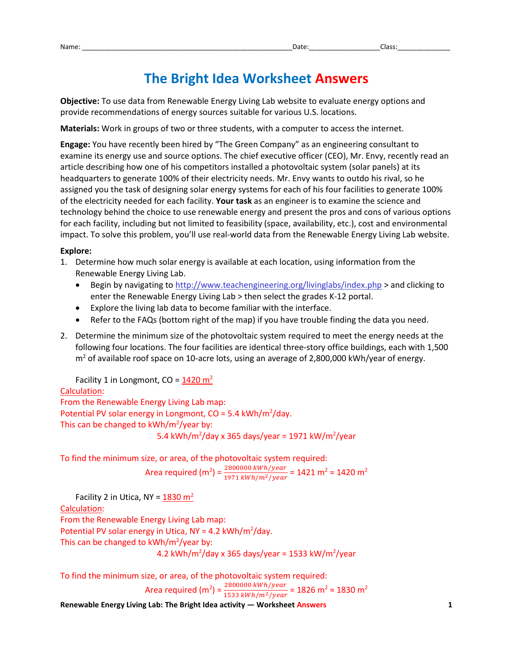# **The Bright Idea Worksheet Answers**

**Objective:** To use data from Renewable Energy Living Lab website to evaluate energy options and provide recommendations of energy sources suitable for various U.S. locations.

**Materials:** Work in groups of two or three students, with a computer to access the internet.

**Engage:** You have recently been hired by "The Green Company" as an engineering consultant to examine its energy use and source options. The chief executive officer (CEO), Mr. Envy, recently read an article describing how one of his competitors installed a photovoltaic system (solar panels) at its headquarters to generate 100% of their electricity needs. Mr. Envy wants to outdo his rival, so he assigned you the task of designing solar energy systems for each of his four facilities to generate 100% of the electricity needed for each facility. **Your task** as an engineer is to examine the science and technology behind the choice to use renewable energy and present the pros and cons of various options for each facility, including but not limited to feasibility (space, availability, etc.), cost and environmental impact. To solve this problem, you'll use real-world data from the Renewable Energy Living Lab website.

#### **Explore:**

- 1. Determine how much solar energy is available at each location, using information from the Renewable Energy Living Lab.
	- Begin by navigating to http://www.teachengineering.org/livinglabs/index.php > and clicking to enter the Renewable Energy Living Lab > then select the grades K-12 portal.
	- Explore the living lab data to become familiar with the interface.
	- Refer to the FAQs (bottom right of the map) if you have trouble finding the data you need.
- 2. Determine the minimum size of the photovoltaic system required to meet the energy needs at the following four locations. The four facilities are identical three-story office buildings, each with 1,500  $m<sup>2</sup>$  of available roof space on 10-acre lots, using an average of 2,800,000 kWh/year of energy.

Facility 1 in Longmont,  $CO = 1420 \text{ m}^2$ Calculation: From the Renewable Energy Living Lab map: Potential PV solar energy in Longmont,  $CO = 5.4$  kWh/m<sup>2</sup>/day. This can be changed to  $kWh/m^2$ /year by: 5.4 kWh/m<sup>2</sup>/day x 365 days/year = 1971 kW/m<sup>2</sup>/year

To find the minimum size, or area, of the photovoltaic system required: Area required (m<sup>2</sup>) =  $\frac{2800000 \text{ kWh}/year}{1971 \text{ kWh}/m^2/year}$  = 1421 m<sup>2</sup> ≈ 1420 m<sup>2</sup>

Facility 2 in Utica, NY =  $1830 \text{ m}^2$ Calculation: From the Renewable Energy Living Lab map: Potential PV solar energy in Utica,  $NY = 4.2$  kWh/m<sup>2</sup>/day. This can be changed to  $kWh/m^2$ /year by: 4.2 kWh/m<sup>2</sup>/day x 365 days/year = 1533 kW/m<sup>2</sup>/year

To find the minimum size, or area, of the photovoltaic system required:

Area required (m<sup>2</sup>) =  $\frac{2800000 \ kWh/year}{1533 \ kWh/m^2/year}$  = 1826 m<sup>2</sup> ≈ 1830 m<sup>2</sup>

**Renewable Energy Living Lab: The Bright Idea activity — Worksheet Answers 1**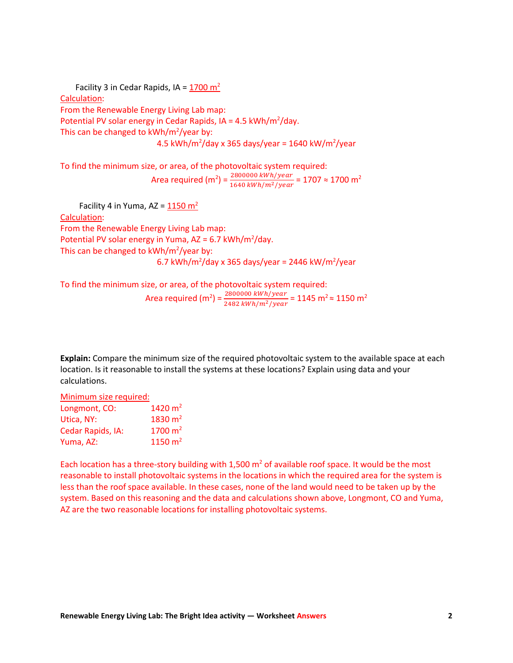Facility 3 in Cedar Rapids, IA =  $1700 \text{ m}^2$ Calculation: From the Renewable Energy Living Lab map: Potential PV solar energy in Cedar Rapids,  $IA = 4.5$  kWh/m<sup>2</sup>/day. This can be changed to kWh/m<sup>2</sup>/year by:  $4.5 \text{ kWh/m}^2/\text{day} \times 365 \text{ days/year} = 1640 \text{ kW/m}^2/\text{year}$ 

To find the minimum size, or area, of the photovoltaic system required: Area required (m<sup>2</sup>) =  $\frac{2800000 \ kWh/year}{1640 \ kWh/m^2/year}$  = 1707  $\approx$  1700 m<sup>2</sup>

Facility 4 in Yuma, AZ =  $1150 \text{ m}^2$ Calculation: From the Renewable Energy Living Lab map: Potential PV solar energy in Yuma,  $AZ = 6.7$  kWh/m<sup>2</sup>/day. This can be changed to kWh/m<sup>2</sup>/year by: 6.7 kWh/m<sup>2</sup>/day x 365 days/year = 2446 kW/m<sup>2</sup>/year

To find the minimum size, or area, of the photovoltaic system required:

Area required (m<sup>2</sup>) =  $\frac{2800000 \ kWh/year}{2482 \ kWh/m^2/year}$  = 1145 m<sup>2</sup>  $\approx$  1150 m<sup>2</sup>

**Explain:** Compare the minimum size of the required photovoltaic system to the available space at each location. Is it reasonable to install the systems at these locations? Explain using data and your calculations.

Minimum size required: Longmont, CO:  $1420 \text{ m}^2$ Utica, NY:  $1830 \text{ m}^2$ Cedar Rapids, IA: 1700 m<sup>2</sup> Yuma, AZ: 1150 m<sup>2</sup>

Each location has a three-story building with 1,500  $m<sup>2</sup>$  of available roof space. It would be the most reasonable to install photovoltaic systems in the locations in which the required area for the system is less than the roof space available. In these cases, none of the land would need to be taken up by the system. Based on this reasoning and the data and calculations shown above, Longmont, CO and Yuma, AZ are the two reasonable locations for installing photovoltaic systems.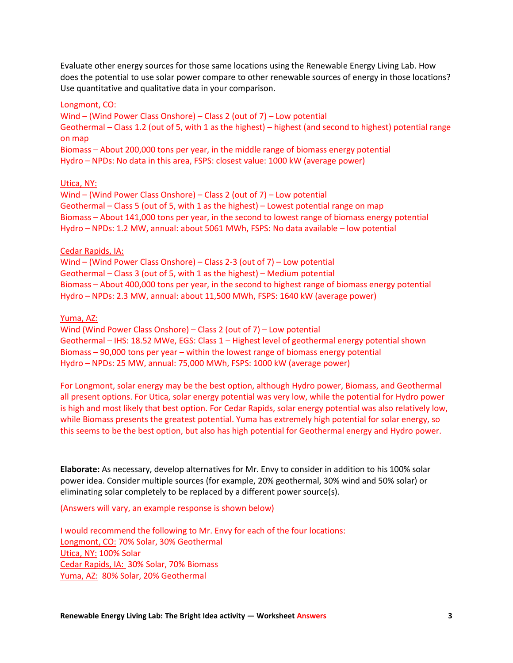Evaluate other energy sources for those same locations using the Renewable Energy Living Lab. How does the potential to use solar power compare to other renewable sources of energy in those locations? Use quantitative and qualitative data in your comparison.

## Longmont, CO:

Wind – (Wind Power Class Onshore) – Class 2 (out of 7) – Low potential Geothermal – Class 1.2 (out of 5, with 1 as the highest) – highest (and second to highest) potential range on map

Biomass – About 200,000 tons per year, in the middle range of biomass energy potential Hydro – NPDs: No data in this area, FSPS: closest value: 1000 kW (average power)

## Utica, NY:

Wind – (Wind Power Class Onshore) – Class 2 (out of 7) – Low potential Geothermal – Class 5 (out of 5, with 1 as the highest) – Lowest potential range on map Biomass – About 141,000 tons per year, in the second to lowest range of biomass energy potential Hydro – NPDs: 1.2 MW, annual: about 5061 MWh, FSPS: No data available – low potential

## Cedar Rapids, IA:

Wind – (Wind Power Class Onshore) – Class 2-3 (out of 7) – Low potential Geothermal – Class 3 (out of 5, with 1 as the highest) – Medium potential Biomass – About 400,000 tons per year, in the second to highest range of biomass energy potential Hydro – NPDs: 2.3 MW, annual: about 11,500 MWh, FSPS: 1640 kW (average power)

## Yuma, AZ:

Wind (Wind Power Class Onshore) – Class 2 (out of 7) – Low potential Geothermal – IHS: 18.52 MWe, EGS: Class 1 – Highest level of geothermal energy potential shown Biomass – 90,000 tons per year – within the lowest range of biomass energy potential Hydro – NPDs: 25 MW, annual: 75,000 MWh, FSPS: 1000 kW (average power)

For Longmont, solar energy may be the best option, although Hydro power, Biomass, and Geothermal all present options. For Utica, solar energy potential was very low, while the potential for Hydro power is high and most likely that best option. For Cedar Rapids, solar energy potential was also relatively low, while Biomass presents the greatest potential. Yuma has extremely high potential for solar energy, so this seems to be the best option, but also has high potential for Geothermal energy and Hydro power.

**Elaborate:** As necessary, develop alternatives for Mr. Envy to consider in addition to his 100% solar power idea. Consider multiple sources (for example, 20% geothermal, 30% wind and 50% solar) or eliminating solar completely to be replaced by a different power source(s).

(Answers will vary, an example response is shown below)

I would recommend the following to Mr. Envy for each of the four locations: Longmont, CO: 70% Solar, 30% Geothermal Utica, NY: 100% Solar Cedar Rapids, IA: 30% Solar, 70% Biomass Yuma, AZ: 80% Solar, 20% Geothermal